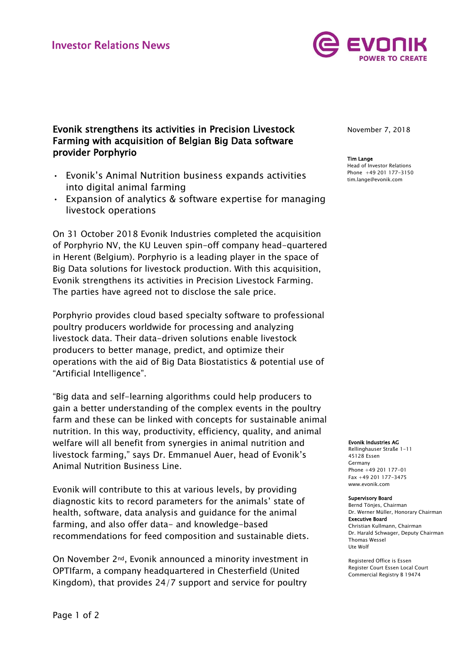

# Evonik strengthens its activities in Precision Livestock Farming with acquisition of Belgian Big Data software provider Porphyrio

- Evonik's Animal Nutrition business expands activities into digital animal farming
- Expansion of analytics & software expertise for managing livestock operations

On 31 October 2018 Evonik Industries completed the acquisition of Porphyrio NV, the KU Leuven spin-off company head-quartered in Herent (Belgium). Porphyrio is a leading player in the space of Big Data solutions for livestock production. With this acquisition, Evonik strengthens its activities in Precision Livestock Farming. The parties have agreed not to disclose the sale price.

Porphyrio provides cloud based specialty software to professional poultry producers worldwide for processing and analyzing livestock data. Their data-driven solutions enable livestock producers to better manage, predict, and optimize their operations with the aid of Big Data Biostatistics & potential use of "Artificial Intelligence".

"Big data and self-learning algorithms could help producers to gain a better understanding of the complex events in the poultry farm and these can be linked with concepts for sustainable animal nutrition. In this way, productivity, efficiency, quality, and animal welfare will all benefit from synergies in animal nutrition and livestock farming," says Dr. Emmanuel Auer, head of Evonik's Animal Nutrition Business Line.

Evonik will contribute to this at various levels, by providing diagnostic kits to record parameters for the animals' state of health, software, data analysis and guidance for the animal farming, and also offer data- and knowledge-based recommendations for feed composition and sustainable diets.

On November 2nd, Evonik announced a minority investment in OPTIfarm, a company headquartered in Chesterfield (United Kingdom), that provides 24/7 support and service for poultry

November 7, 2018

### Tim Lange

Head of Investor Relations Phone +49 201 177-3150 tim.lange@evonik.com

#### Evonik Industries AG

Rellinghauser Straße 1-11 45128 Essen Germany Phone +49 201 177-01 Fax +49 201 177-3475 www.evonik.com

#### Supervisory Board

Bernd Tönjes, Chairman Dr. Werner Müller, Honorary Chairman Executive Board Christian Kullmann, Chairman Dr. Harald Schwager, Deputy Chairman Thomas Wessel Ute Wolf

Registered Office is Essen Register Court Essen Local Court Commercial Registry B 19474